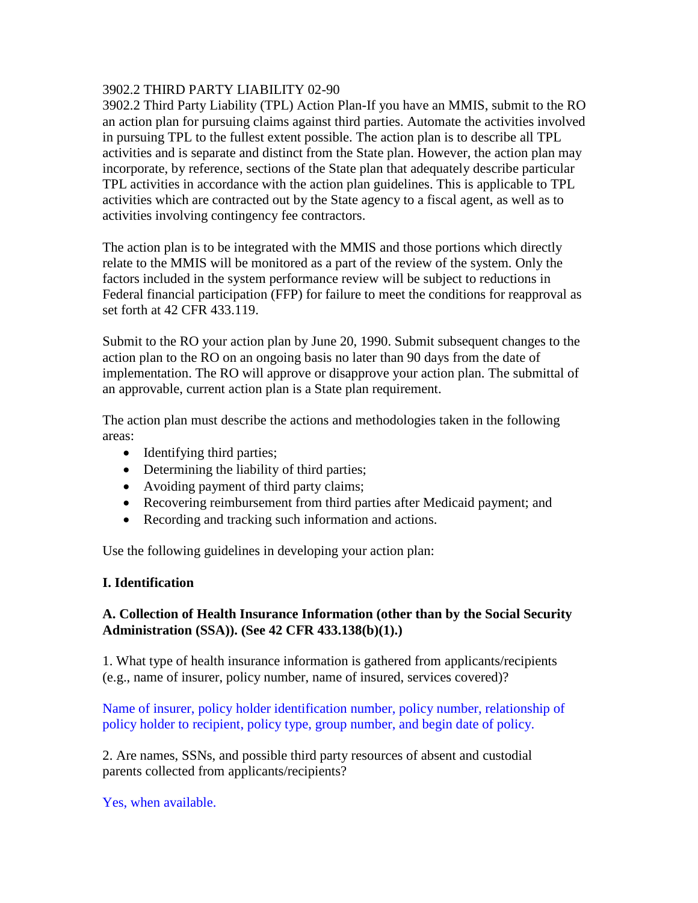### 3902.2 THIRD PARTY LIABILITY 02-90

3902.2 Third Party Liability (TPL) Action Plan-If you have an MMIS, submit to the RO an action plan for pursuing claims against third parties. Automate the activities involved in pursuing TPL to the fullest extent possible. The action plan is to describe all TPL activities and is separate and distinct from the State plan. However, the action plan may incorporate, by reference, sections of the State plan that adequately describe particular TPL activities in accordance with the action plan guidelines. This is applicable to TPL activities which are contracted out by the State agency to a fiscal agent, as well as to activities involving contingency fee contractors.

The action plan is to be integrated with the MMIS and those portions which directly relate to the MMIS will be monitored as a part of the review of the system. Only the factors included in the system performance review will be subject to reductions in Federal financial participation (FFP) for failure to meet the conditions for reapproval as set forth at 42 CFR 433.119.

Submit to the RO your action plan by June 20, 1990. Submit subsequent changes to the action plan to the RO on an ongoing basis no later than 90 days from the date of implementation. The RO will approve or disapprove your action plan. The submittal of an approvable, current action plan is a State plan requirement.

The action plan must describe the actions and methodologies taken in the following areas:

- Identifying third parties;
- Determining the liability of third parties;
- Avoiding payment of third party claims;
- Recovering reimbursement from third parties after Medicaid payment; and
- Recording and tracking such information and actions.

Use the following guidelines in developing your action plan:

# **I. Identification**

# **A. Collection of Health Insurance Information (other than by the Social Security Administration (SSA)). (See 42 CFR 433.138(b)(1).)**

1. What type of health insurance information is gathered from applicants/recipients (e.g., name of insurer, policy number, name of insured, services covered)?

Name of insurer, policy holder identification number, policy number, relationship of policy holder to recipient, policy type, group number, and begin date of policy.

2. Are names, SSNs, and possible third party resources of absent and custodial parents collected from applicants/recipients?

Yes, when available.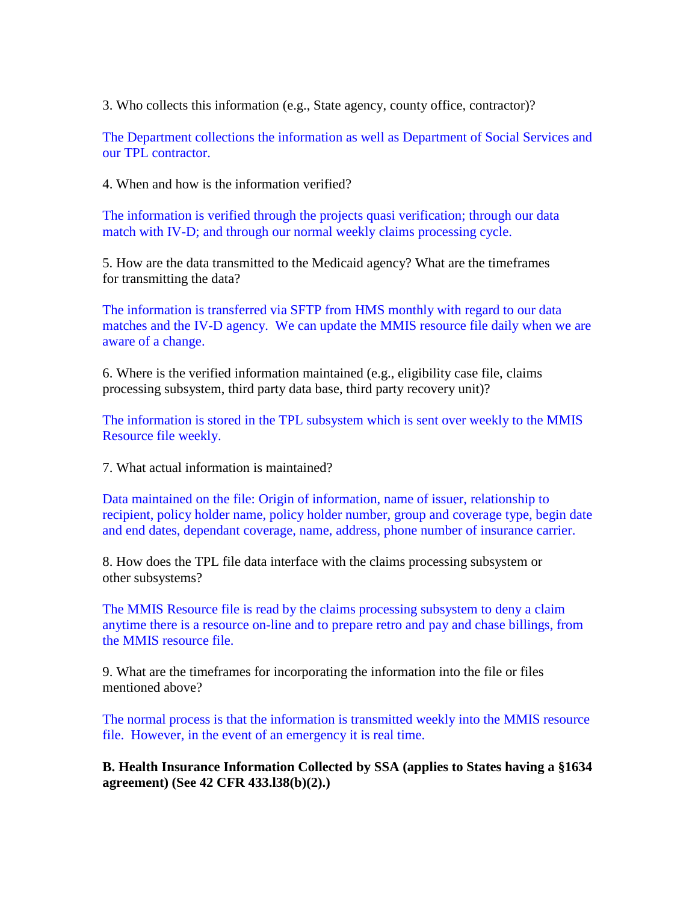3. Who collects this information (e.g., State agency, county office, contractor)?

The Department collections the information as well as Department of Social Services and our TPL contractor.

4. When and how is the information verified?

The information is verified through the projects quasi verification; through our data match with IV-D; and through our normal weekly claims processing cycle.

5. How are the data transmitted to the Medicaid agency? What are the timeframes for transmitting the data?

The information is transferred via SFTP from HMS monthly with regard to our data matches and the IV-D agency. We can update the MMIS resource file daily when we are aware of a change.

6. Where is the verified information maintained (e.g., eligibility case file, claims processing subsystem, third party data base, third party recovery unit)?

The information is stored in the TPL subsystem which is sent over weekly to the MMIS Resource file weekly.

7. What actual information is maintained?

Data maintained on the file: Origin of information, name of issuer, relationship to recipient, policy holder name, policy holder number, group and coverage type, begin date and end dates, dependant coverage, name, address, phone number of insurance carrier.

8. How does the TPL file data interface with the claims processing subsystem or other subsystems?

The MMIS Resource file is read by the claims processing subsystem to deny a claim anytime there is a resource on-line and to prepare retro and pay and chase billings, from the MMIS resource file.

9. What are the timeframes for incorporating the information into the file or files mentioned above?

The normal process is that the information is transmitted weekly into the MMIS resource file. However, in the event of an emergency it is real time.

**B. Health Insurance Information Collected by SSA (applies to States having a §1634 agreement) (See 42 CFR 433.l38(b)(2).)**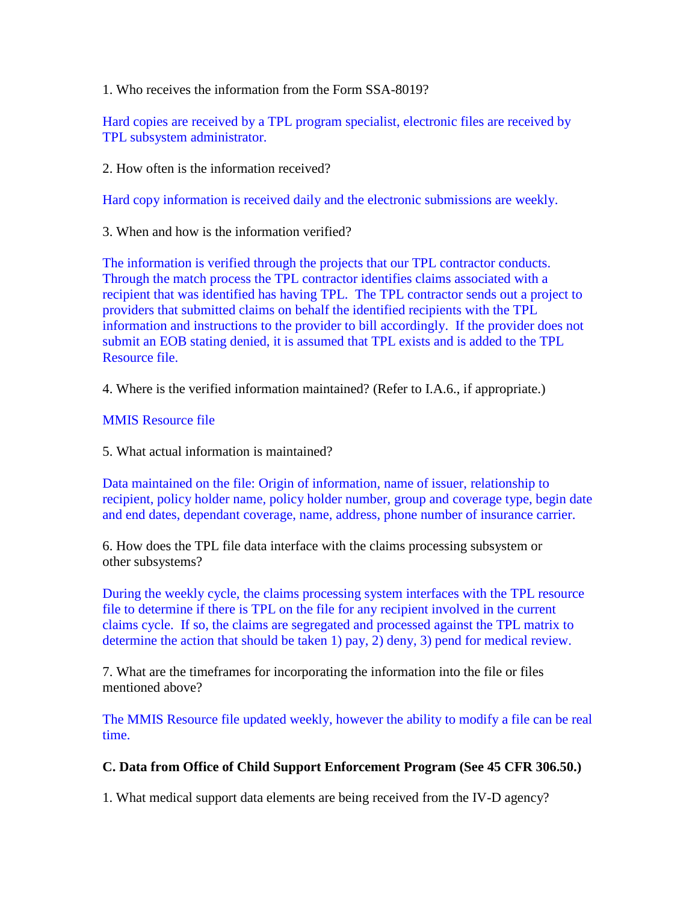1. Who receives the information from the Form SSA-8019?

Hard copies are received by a TPL program specialist, electronic files are received by TPL subsystem administrator.

2. How often is the information received?

Hard copy information is received daily and the electronic submissions are weekly.

3. When and how is the information verified?

The information is verified through the projects that our TPL contractor conducts. Through the match process the TPL contractor identifies claims associated with a recipient that was identified has having TPL. The TPL contractor sends out a project to providers that submitted claims on behalf the identified recipients with the TPL information and instructions to the provider to bill accordingly. If the provider does not submit an EOB stating denied, it is assumed that TPL exists and is added to the TPL Resource file.

4. Where is the verified information maintained? (Refer to I.A.6., if appropriate.)

### MMIS Resource file

5. What actual information is maintained?

Data maintained on the file: Origin of information, name of issuer, relationship to recipient, policy holder name, policy holder number, group and coverage type, begin date and end dates, dependant coverage, name, address, phone number of insurance carrier.

6. How does the TPL file data interface with the claims processing subsystem or other subsystems?

During the weekly cycle, the claims processing system interfaces with the TPL resource file to determine if there is TPL on the file for any recipient involved in the current claims cycle. If so, the claims are segregated and processed against the TPL matrix to determine the action that should be taken 1) pay, 2) deny, 3) pend for medical review.

7. What are the timeframes for incorporating the information into the file or files mentioned above?

The MMIS Resource file updated weekly, however the ability to modify a file can be real time.

# **C. Data from Office of Child Support Enforcement Program (See 45 CFR 306.50.)**

1. What medical support data elements are being received from the IV-D agency?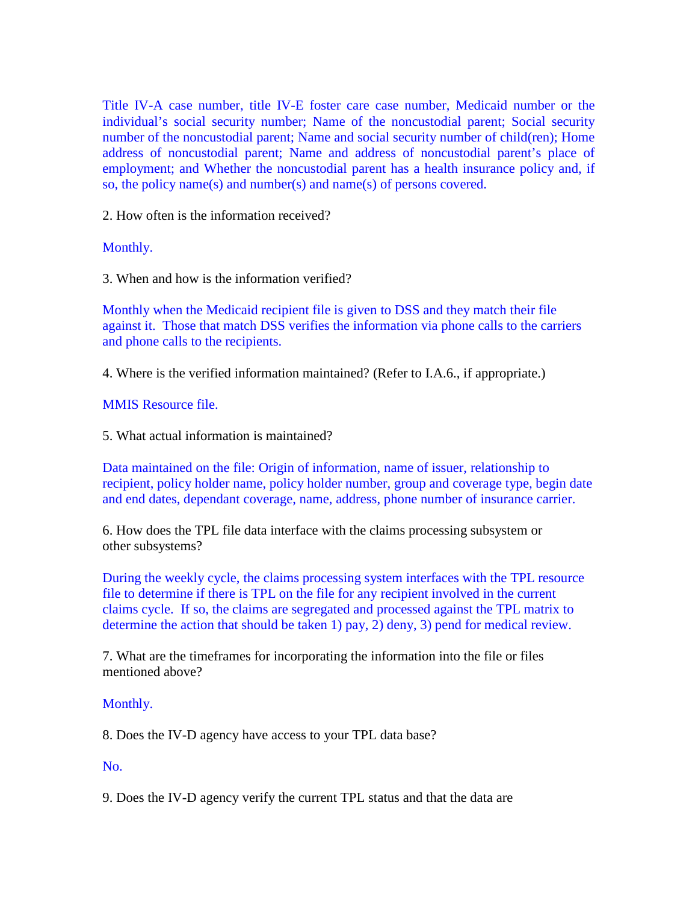Title IV-A case number, title IV-E foster care case number, Medicaid number or the individual's social security number; Name of the noncustodial parent; Social security number of the noncustodial parent; Name and social security number of child(ren); Home address of noncustodial parent; Name and address of noncustodial parent's place of employment; and Whether the noncustodial parent has a health insurance policy and, if so, the policy name(s) and number(s) and name(s) of persons covered.

2. How often is the information received?

Monthly.

3. When and how is the information verified?

Monthly when the Medicaid recipient file is given to DSS and they match their file against it. Those that match DSS verifies the information via phone calls to the carriers and phone calls to the recipients.

4. Where is the verified information maintained? (Refer to I.A.6., if appropriate.)

MMIS Resource file.

5. What actual information is maintained?

Data maintained on the file: Origin of information, name of issuer, relationship to recipient, policy holder name, policy holder number, group and coverage type, begin date and end dates, dependant coverage, name, address, phone number of insurance carrier.

6. How does the TPL file data interface with the claims processing subsystem or other subsystems?

During the weekly cycle, the claims processing system interfaces with the TPL resource file to determine if there is TPL on the file for any recipient involved in the current claims cycle. If so, the claims are segregated and processed against the TPL matrix to determine the action that should be taken 1) pay, 2) deny, 3) pend for medical review.

7. What are the timeframes for incorporating the information into the file or files mentioned above?

# Monthly.

8. Does the IV-D agency have access to your TPL data base?

# No.

9. Does the IV-D agency verify the current TPL status and that the data are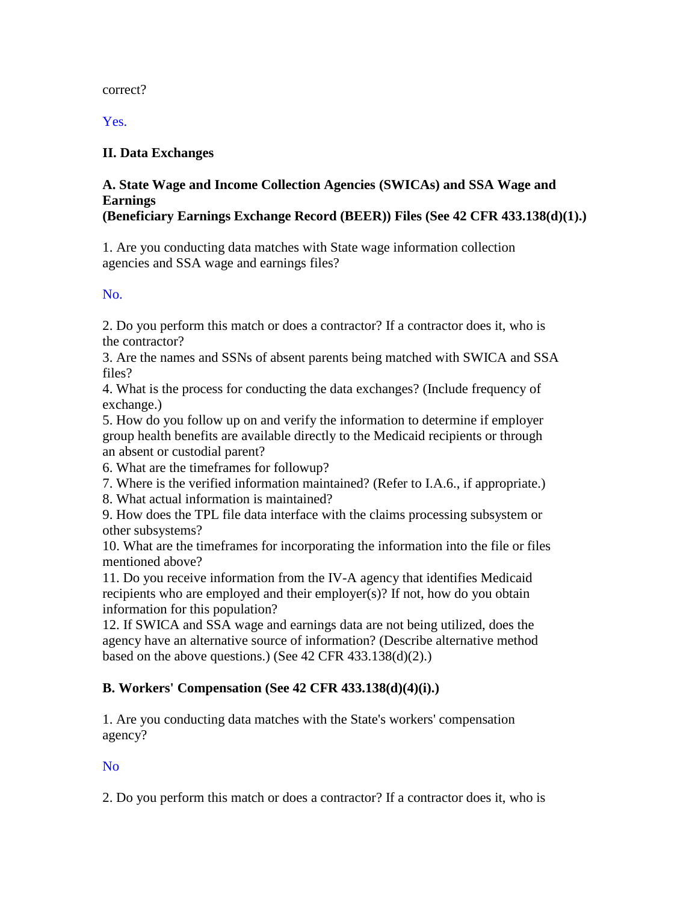#### correct?

Yes.

# **II. Data Exchanges**

#### **A. State Wage and Income Collection Agencies (SWICAs) and SSA Wage and Earnings (Beneficiary Earnings Exchange Record (BEER)) Files (See 42 CFR 433.138(d)(1).)**

1. Are you conducting data matches with State wage information collection agencies and SSA wage and earnings files?

No.

2. Do you perform this match or does a contractor? If a contractor does it, who is the contractor?

3. Are the names and SSNs of absent parents being matched with SWICA and SSA files?

4. What is the process for conducting the data exchanges? (Include frequency of exchange.)

5. How do you follow up on and verify the information to determine if employer group health benefits are available directly to the Medicaid recipients or through an absent or custodial parent?

6. What are the timeframes for followup?

7. Where is the verified information maintained? (Refer to I.A.6., if appropriate.)

8. What actual information is maintained?

9. How does the TPL file data interface with the claims processing subsystem or other subsystems?

10. What are the timeframes for incorporating the information into the file or files mentioned above?

11. Do you receive information from the IV-A agency that identifies Medicaid recipients who are employed and their employer(s)? If not, how do you obtain information for this population?

12. If SWICA and SSA wage and earnings data are not being utilized, does the agency have an alternative source of information? (Describe alternative method based on the above questions.) (See  $42$  CFR  $433.138(d)(2)$ .)

# **B. Workers' Compensation (See 42 CFR 433.138(d)(4)(i).)**

1. Are you conducting data matches with the State's workers' compensation agency?

No

2. Do you perform this match or does a contractor? If a contractor does it, who is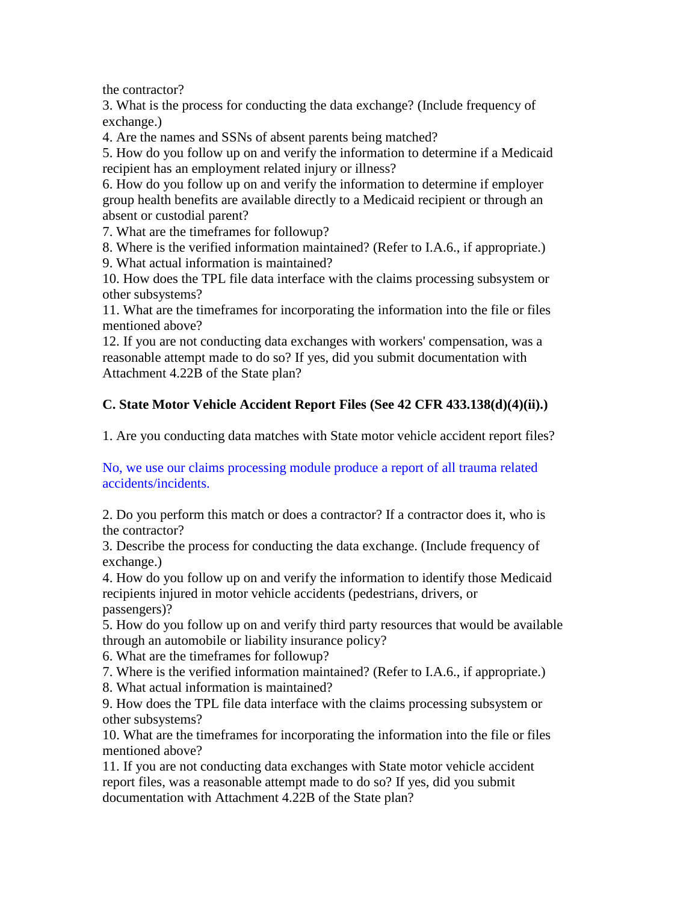the contractor?

3. What is the process for conducting the data exchange? (Include frequency of exchange.)

4. Are the names and SSNs of absent parents being matched?

5. How do you follow up on and verify the information to determine if a Medicaid recipient has an employment related injury or illness?

6. How do you follow up on and verify the information to determine if employer group health benefits are available directly to a Medicaid recipient or through an absent or custodial parent?

7. What are the timeframes for followup?

8. Where is the verified information maintained? (Refer to I.A.6., if appropriate.) 9. What actual information is maintained?

10. How does the TPL file data interface with the claims processing subsystem or other subsystems?

11. What are the timeframes for incorporating the information into the file or files mentioned above?

12. If you are not conducting data exchanges with workers' compensation, was a reasonable attempt made to do so? If yes, did you submit documentation with Attachment 4.22B of the State plan?

# **C. State Motor Vehicle Accident Report Files (See 42 CFR 433.138(d)(4)(ii).)**

1. Are you conducting data matches with State motor vehicle accident report files?

No, we use our claims processing module produce a report of all trauma related accidents/incidents.

2. Do you perform this match or does a contractor? If a contractor does it, who is the contractor?

3. Describe the process for conducting the data exchange. (Include frequency of exchange.)

4. How do you follow up on and verify the information to identify those Medicaid recipients injured in motor vehicle accidents (pedestrians, drivers, or passengers)?

5. How do you follow up on and verify third party resources that would be available through an automobile or liability insurance policy?

6. What are the timeframes for followup?

7. Where is the verified information maintained? (Refer to I.A.6., if appropriate.)

8. What actual information is maintained?

9. How does the TPL file data interface with the claims processing subsystem or other subsystems?

10. What are the timeframes for incorporating the information into the file or files mentioned above?

11. If you are not conducting data exchanges with State motor vehicle accident report files, was a reasonable attempt made to do so? If yes, did you submit documentation with Attachment 4.22B of the State plan?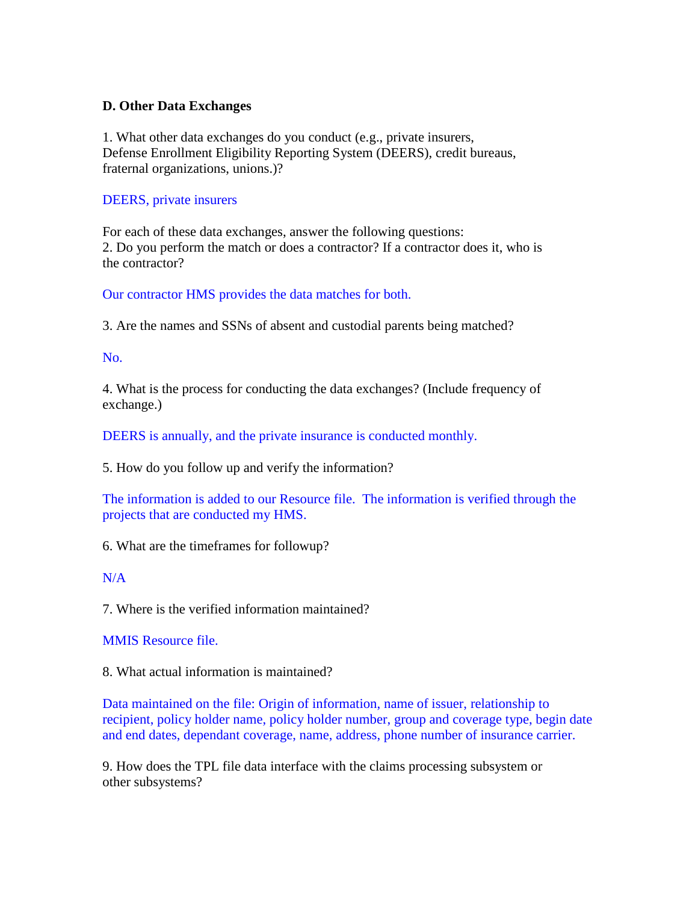### **D. Other Data Exchanges**

1. What other data exchanges do you conduct (e.g., private insurers, Defense Enrollment Eligibility Reporting System (DEERS), credit bureaus, fraternal organizations, unions.)?

#### DEERS, private insurers

For each of these data exchanges, answer the following questions: 2. Do you perform the match or does a contractor? If a contractor does it, who is the contractor?

# Our contractor HMS provides the data matches for both.

3. Are the names and SSNs of absent and custodial parents being matched?

### No.

4. What is the process for conducting the data exchanges? (Include frequency of exchange.)

DEERS is annually, and the private insurance is conducted monthly.

5. How do you follow up and verify the information?

The information is added to our Resource file. The information is verified through the projects that are conducted my HMS.

6. What are the timeframes for followup?

#### N/A

7. Where is the verified information maintained?

MMIS Resource file.

8. What actual information is maintained?

Data maintained on the file: Origin of information, name of issuer, relationship to recipient, policy holder name, policy holder number, group and coverage type, begin date and end dates, dependant coverage, name, address, phone number of insurance carrier.

9. How does the TPL file data interface with the claims processing subsystem or other subsystems?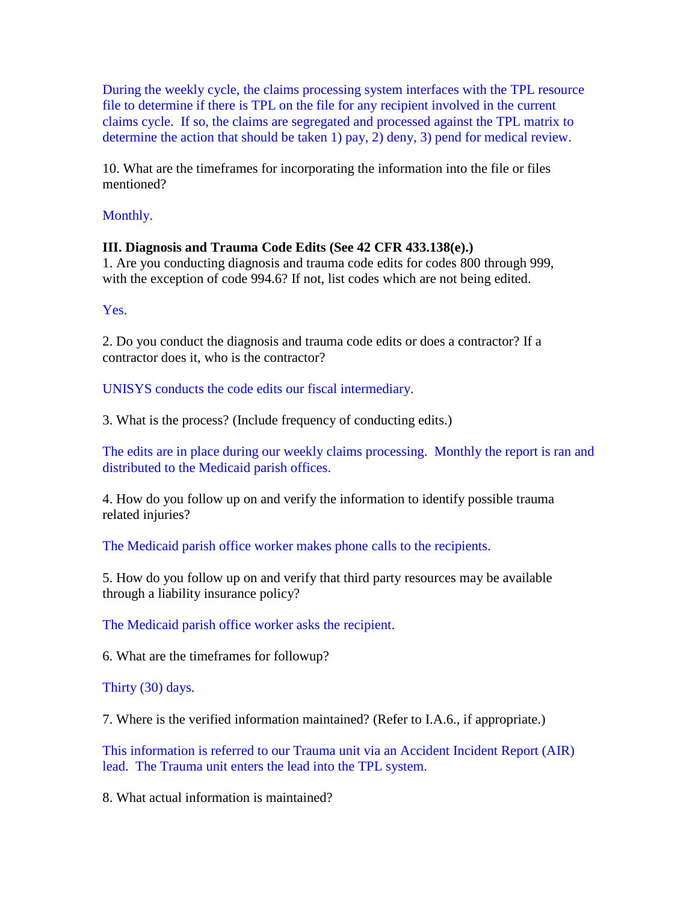During the weekly cycle, the claims processing system interfaces with the TPL resource file to determine if there is TPL on the file for any recipient involved in the current claims cycle. If so, the claims are segregated and processed against the TPL matrix to determine the action that should be taken 1) pay, 2) deny, 3) pend for medical review.

10. What are the timeframes for incorporating the information into the file or files mentioned?

Monthly.

### **III. Diagnosis and Trauma Code Edits (See 42 CFR 433.138(e).)**

1. Are you conducting diagnosis and trauma code edits for codes 800 through 999, with the exception of code 994.6? If not, list codes which are not being edited.

Yes.

2. Do you conduct the diagnosis and trauma code edits or does a contractor? If a contractor does it, who is the contractor?

UNISYS conducts the code edits our fiscal intermediary.

3. What is the process? (Include frequency of conducting edits.)

The edits are in place during our weekly claims processing. Monthly the report is ran and distributed to the Medicaid parish offices.

4. How do you follow up on and verify the information to identify possible trauma related injuries?

The Medicaid parish office worker makes phone calls to the recipients.

5. How do you follow up on and verify that third party resources may be available through a liability insurance policy?

The Medicaid parish office worker asks the recipient.

6. What are the timeframes for followup?

Thirty (30) days.

7. Where is the verified information maintained? (Refer to I.A.6., if appropriate.)

This information is referred to our Trauma unit via an Accident Incident Report (AIR) lead. The Trauma unit enters the lead into the TPL system.

8. What actual information is maintained?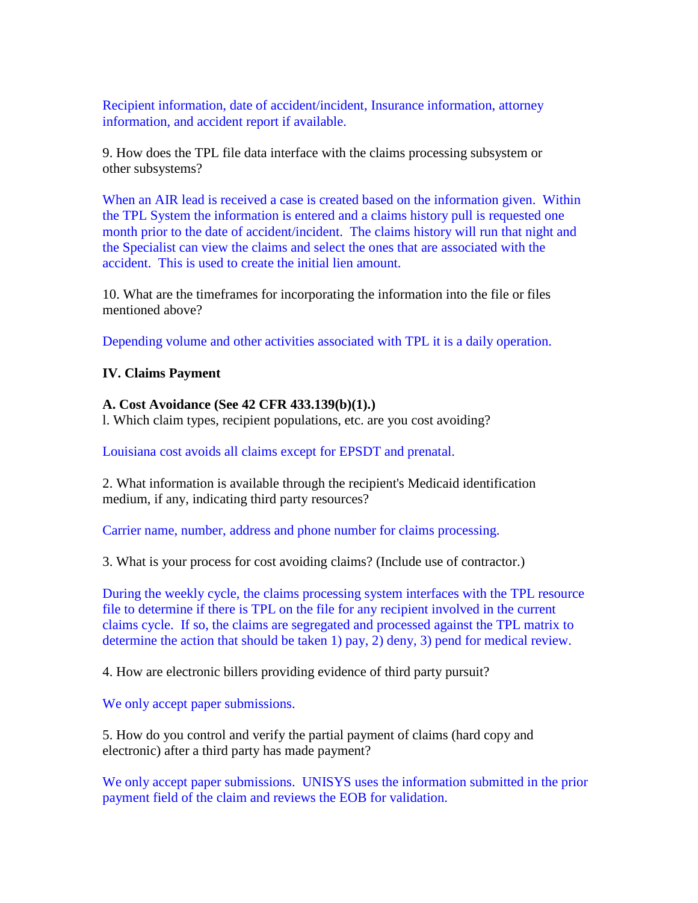Recipient information, date of accident/incident, Insurance information, attorney information, and accident report if available.

9. How does the TPL file data interface with the claims processing subsystem or other subsystems?

When an AIR lead is received a case is created based on the information given. Within the TPL System the information is entered and a claims history pull is requested one month prior to the date of accident/incident. The claims history will run that night and the Specialist can view the claims and select the ones that are associated with the accident. This is used to create the initial lien amount.

10. What are the timeframes for incorporating the information into the file or files mentioned above?

Depending volume and other activities associated with TPL it is a daily operation.

#### **IV. Claims Payment**

#### **A. Cost Avoidance (See 42 CFR 433.139(b)(1).)**

l. Which claim types, recipient populations, etc. are you cost avoiding?

Louisiana cost avoids all claims except for EPSDT and prenatal.

2. What information is available through the recipient's Medicaid identification medium, if any, indicating third party resources?

Carrier name, number, address and phone number for claims processing.

3. What is your process for cost avoiding claims? (Include use of contractor.)

During the weekly cycle, the claims processing system interfaces with the TPL resource file to determine if there is TPL on the file for any recipient involved in the current claims cycle. If so, the claims are segregated and processed against the TPL matrix to determine the action that should be taken 1) pay, 2) deny, 3) pend for medical review.

4. How are electronic billers providing evidence of third party pursuit?

We only accept paper submissions.

5. How do you control and verify the partial payment of claims (hard copy and electronic) after a third party has made payment?

We only accept paper submissions. UNISYS uses the information submitted in the prior payment field of the claim and reviews the EOB for validation.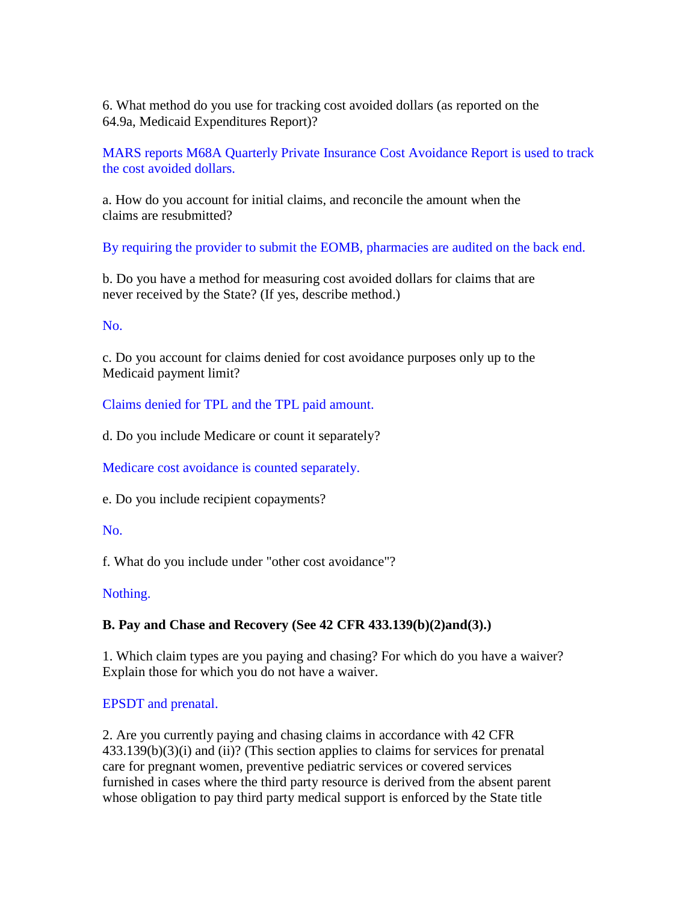6. What method do you use for tracking cost avoided dollars (as reported on the 64.9a, Medicaid Expenditures Report)?

MARS reports M68A Quarterly Private Insurance Cost Avoidance Report is used to track the cost avoided dollars.

a. How do you account for initial claims, and reconcile the amount when the claims are resubmitted?

By requiring the provider to submit the EOMB, pharmacies are audited on the back end.

b. Do you have a method for measuring cost avoided dollars for claims that are never received by the State? (If yes, describe method.)

### No.

c. Do you account for claims denied for cost avoidance purposes only up to the Medicaid payment limit?

Claims denied for TPL and the TPL paid amount.

d. Do you include Medicare or count it separately?

Medicare cost avoidance is counted separately.

e. Do you include recipient copayments?

#### No.

f. What do you include under "other cost avoidance"?

# Nothing.

# **B. Pay and Chase and Recovery (See 42 CFR 433.139(b)(2)and(3).)**

1. Which claim types are you paying and chasing? For which do you have a waiver? Explain those for which you do not have a waiver.

# EPSDT and prenatal.

2. Are you currently paying and chasing claims in accordance with 42 CFR 433.139(b)(3)(i) and (ii)? (This section applies to claims for services for prenatal care for pregnant women, preventive pediatric services or covered services furnished in cases where the third party resource is derived from the absent parent whose obligation to pay third party medical support is enforced by the State title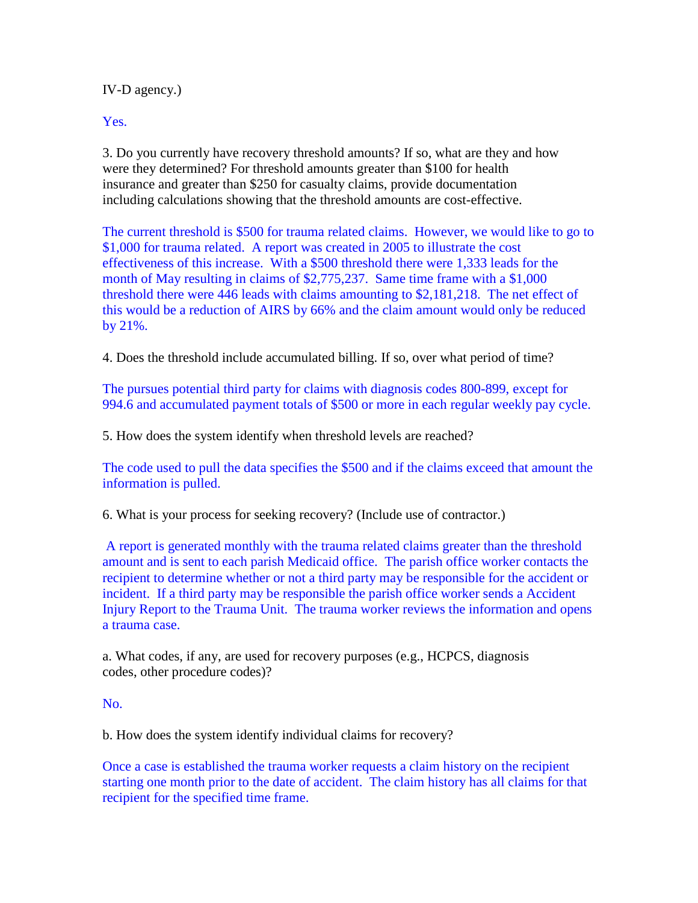IV-D agency.)

Yes.

3. Do you currently have recovery threshold amounts? If so, what are they and how were they determined? For threshold amounts greater than \$100 for health insurance and greater than \$250 for casualty claims, provide documentation including calculations showing that the threshold amounts are cost-effective.

The current threshold is \$500 for trauma related claims. However, we would like to go to \$1,000 for trauma related. A report was created in 2005 to illustrate the cost effectiveness of this increase. With a \$500 threshold there were 1,333 leads for the month of May resulting in claims of \$2,775,237. Same time frame with a \$1,000 threshold there were 446 leads with claims amounting to \$2,181,218. The net effect of this would be a reduction of AIRS by 66% and the claim amount would only be reduced by 21%.

4. Does the threshold include accumulated billing. If so, over what period of time?

The pursues potential third party for claims with diagnosis codes 800-899, except for 994.6 and accumulated payment totals of \$500 or more in each regular weekly pay cycle.

5. How does the system identify when threshold levels are reached?

The code used to pull the data specifies the \$500 and if the claims exceed that amount the information is pulled.

6. What is your process for seeking recovery? (Include use of contractor.)

A report is generated monthly with the trauma related claims greater than the threshold amount and is sent to each parish Medicaid office. The parish office worker contacts the recipient to determine whether or not a third party may be responsible for the accident or incident. If a third party may be responsible the parish office worker sends a Accident Injury Report to the Trauma Unit. The trauma worker reviews the information and opens a trauma case.

a. What codes, if any, are used for recovery purposes (e.g., HCPCS, diagnosis codes, other procedure codes)?

No.

b. How does the system identify individual claims for recovery?

Once a case is established the trauma worker requests a claim history on the recipient starting one month prior to the date of accident. The claim history has all claims for that recipient for the specified time frame.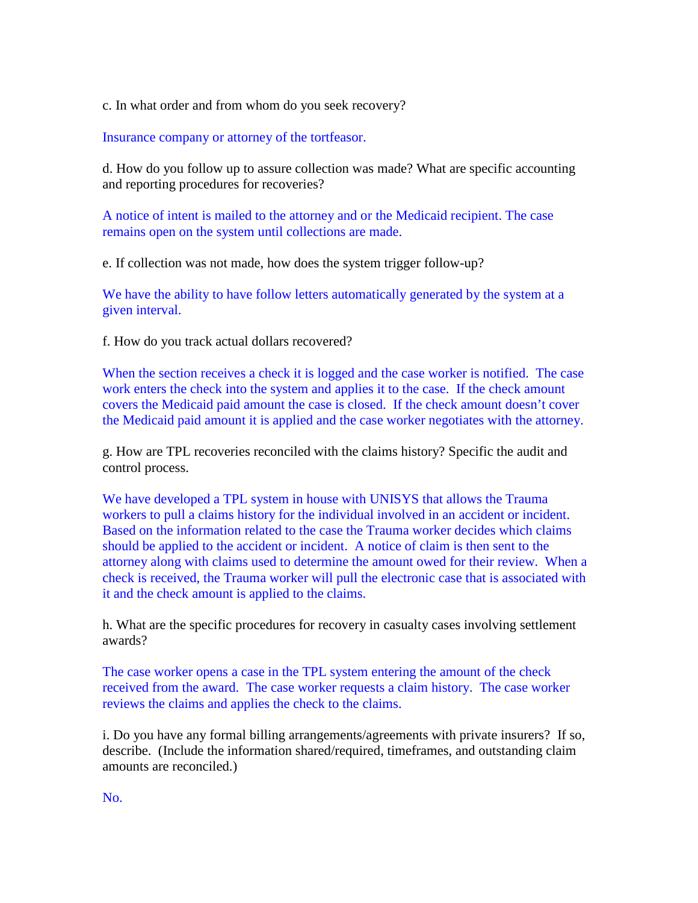c. In what order and from whom do you seek recovery?

Insurance company or attorney of the tortfeasor.

d. How do you follow up to assure collection was made? What are specific accounting and reporting procedures for recoveries?

A notice of intent is mailed to the attorney and or the Medicaid recipient. The case remains open on the system until collections are made.

e. If collection was not made, how does the system trigger follow-up?

We have the ability to have follow letters automatically generated by the system at a given interval.

f. How do you track actual dollars recovered?

When the section receives a check it is logged and the case worker is notified. The case work enters the check into the system and applies it to the case. If the check amount covers the Medicaid paid amount the case is closed. If the check amount doesn't cover the Medicaid paid amount it is applied and the case worker negotiates with the attorney.

g. How are TPL recoveries reconciled with the claims history? Specific the audit and control process.

We have developed a TPL system in house with UNISYS that allows the Trauma workers to pull a claims history for the individual involved in an accident or incident. Based on the information related to the case the Trauma worker decides which claims should be applied to the accident or incident. A notice of claim is then sent to the attorney along with claims used to determine the amount owed for their review. When a check is received, the Trauma worker will pull the electronic case that is associated with it and the check amount is applied to the claims.

h. What are the specific procedures for recovery in casualty cases involving settlement awards?

The case worker opens a case in the TPL system entering the amount of the check received from the award. The case worker requests a claim history. The case worker reviews the claims and applies the check to the claims.

i. Do you have any formal billing arrangements/agreements with private insurers? If so, describe. (Include the information shared/required, timeframes, and outstanding claim amounts are reconciled.)

No.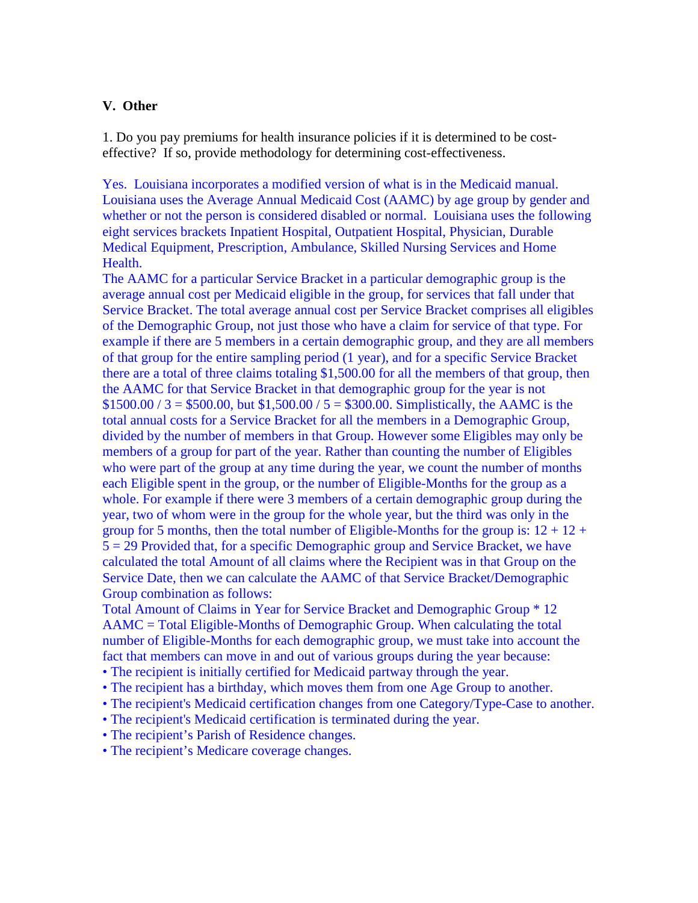#### **V. Other**

1. Do you pay premiums for health insurance policies if it is determined to be costeffective? If so, provide methodology for determining cost-effectiveness.

Yes. Louisiana incorporates a modified version of what is in the Medicaid manual. Louisiana uses the Average Annual Medicaid Cost (AAMC) by age group by gender and whether or not the person is considered disabled or normal. Louisiana uses the following eight services brackets Inpatient Hospital, Outpatient Hospital, Physician, Durable Medical Equipment, Prescription, Ambulance, Skilled Nursing Services and Home Health.

The AAMC for a particular Service Bracket in a particular demographic group is the average annual cost per Medicaid eligible in the group, for services that fall under that Service Bracket. The total average annual cost per Service Bracket comprises all eligibles of the Demographic Group, not just those who have a claim for service of that type. For example if there are 5 members in a certain demographic group, and they are all members of that group for the entire sampling period (1 year), and for a specific Service Bracket there are a total of three claims totaling \$1,500.00 for all the members of that group, then the AAMC for that Service Bracket in that demographic group for the year is not  $$1500.00 / 3 = $500.00$ , but  $$1,500.00 / 5 = $300.00$ . Simplistically, the AAMC is the total annual costs for a Service Bracket for all the members in a Demographic Group, divided by the number of members in that Group. However some Eligibles may only be members of a group for part of the year. Rather than counting the number of Eligibles who were part of the group at any time during the year, we count the number of months each Eligible spent in the group, or the number of Eligible-Months for the group as a whole. For example if there were 3 members of a certain demographic group during the year, two of whom were in the group for the whole year, but the third was only in the group for 5 months, then the total number of Eligible-Months for the group is:  $12 + 12 +$ 5 = 29 Provided that, for a specific Demographic group and Service Bracket, we have calculated the total Amount of all claims where the Recipient was in that Group on the Service Date, then we can calculate the AAMC of that Service Bracket/Demographic Group combination as follows:

Total Amount of Claims in Year for Service Bracket and Demographic Group \* 12 AAMC = Total Eligible-Months of Demographic Group. When calculating the total number of Eligible-Months for each demographic group, we must take into account the fact that members can move in and out of various groups during the year because:

- The recipient is initially certified for Medicaid partway through the year.
- The recipient has a birthday, which moves them from one Age Group to another.
- The recipient's Medicaid certification changes from one Category/Type-Case to another.
- The recipient's Medicaid certification is terminated during the year.
- The recipient's Parish of Residence changes.
- The recipient's Medicare coverage changes.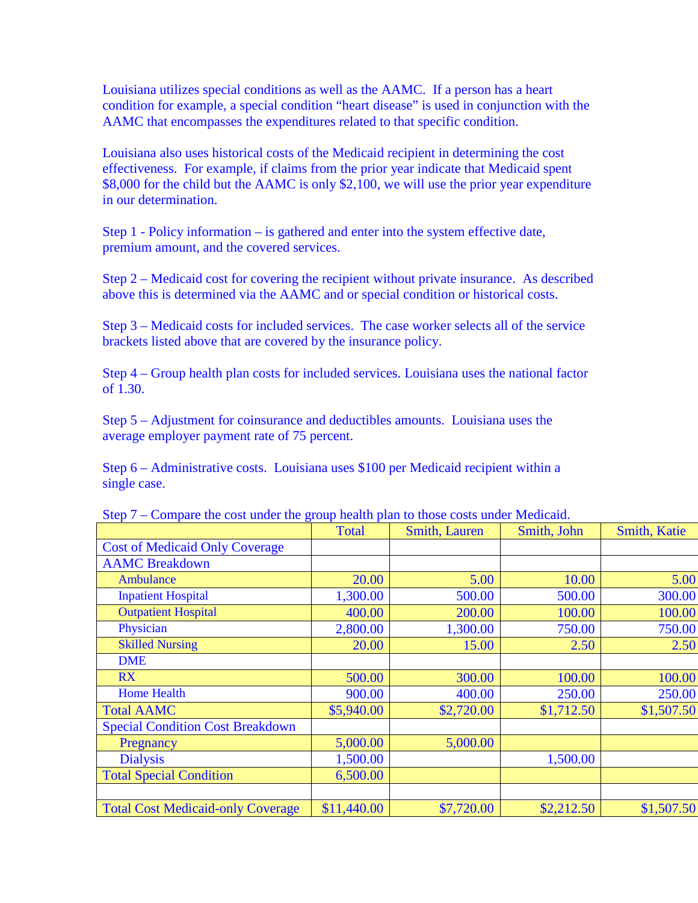Louisiana utilizes special conditions as well as the AAMC. If a person has a heart condition for example, a special condition "heart disease" is used in conjunction with the AAMC that encompasses the expenditures related to that specific condition.

Louisiana also uses historical costs of the Medicaid recipient in determining the cost effectiveness. For example, if claims from the prior year indicate that Medicaid spent \$8,000 for the child but the AAMC is only \$2,100, we will use the prior year expenditure in our determination.

Step 1 - Policy information – is gathered and enter into the system effective date, premium amount, and the covered services.

Step 2 – Medicaid cost for covering the recipient without private insurance. As described above this is determined via the AAMC and or special condition or historical costs.

Step 3 – Medicaid costs for included services. The case worker selects all of the service brackets listed above that are covered by the insurance policy.

Step 4 – Group health plan costs for included services. Louisiana uses the national factor of 1.30.

Step 5 – Adjustment for coinsurance and deductibles amounts. Louisiana uses the average employer payment rate of 75 percent.

Step 6 – Administrative costs. Louisiana uses \$100 per Medicaid recipient within a single case.

|                                          | <b>Total</b> | Smith, Lauren | Smith, John | <b>Smith, Katie</b> |
|------------------------------------------|--------------|---------------|-------------|---------------------|
| <b>Cost of Medicaid Only Coverage</b>    |              |               |             |                     |
| <b>AAMC</b> Breakdown                    |              |               |             |                     |
| Ambulance                                | 20.00        | 5.00          | 10.00       | 5.00                |
| <b>Inpatient Hospital</b>                | 1,300.00     | 500.00        | 500.00      | 300.00              |
| <b>Outpatient Hospital</b>               | 400.00       | 200.00        | 100.00      | 100.00              |
| Physician                                | 2,800.00     | 1,300.00      | 750.00      | 750.00              |
| <b>Skilled Nursing</b>                   | 20.00        | 15.00         | 2.50        | 2.50                |
| <b>DME</b>                               |              |               |             |                     |
| RX                                       | 500.00       | 300.00        | 100.00      | 100.00              |
| <b>Home Health</b>                       | 900.00       | 400.00        | 250.00      | 250.00              |
| <b>Total AAMC</b>                        | \$5,940.00   | \$2,720.00    | \$1,712.50  | \$1,507.50          |
| <b>Special Condition Cost Breakdown</b>  |              |               |             |                     |
| Pregnancy                                | 5,000.00     | 5,000.00      |             |                     |
| <b>Dialysis</b>                          | 1,500.00     |               | 1,500.00    |                     |
| <b>Total Special Condition</b>           | 6,500.00     |               |             |                     |
|                                          |              |               |             |                     |
| <b>Total Cost Medicaid-only Coverage</b> | \$11,440.00  | \$7,720.00    | \$2,212.50  | \$1,507.50          |

Step 7 – Compare the cost under the group health plan to those costs under Medicaid.